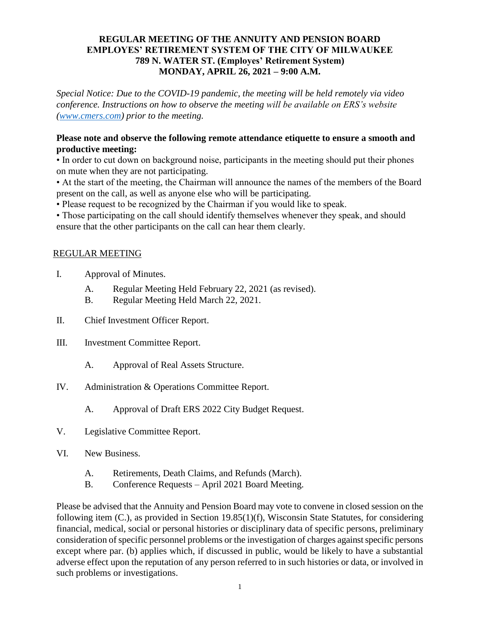## **REGULAR MEETING OF THE ANNUITY AND PENSION BOARD EMPLOYES' RETIREMENT SYSTEM OF THE CITY OF MILWAUKEE 789 N. WATER ST. (Employes' Retirement System) MONDAY, APRIL 26, 2021 – 9:00 A.M.**

*Special Notice: Due to the COVID-19 pandemic, the meeting will be held remotely via video conference. Instructions on how to observe the meeting will be available on ERS's website [\(www.cmers.com\)](http://www.cmers.com/) prior to the meeting.*

## **Please note and observe the following remote attendance etiquette to ensure a smooth and productive meeting:**

• In order to cut down on background noise, participants in the meeting should put their phones on mute when they are not participating.

• At the start of the meeting, the Chairman will announce the names of the members of the Board present on the call, as well as anyone else who will be participating.

• Please request to be recognized by the Chairman if you would like to speak.

• Those participating on the call should identify themselves whenever they speak, and should ensure that the other participants on the call can hear them clearly.

## REGULAR MEETING

- I. Approval of Minutes.
	- A. Regular Meeting Held February 22, 2021 (as revised).
	- B. Regular Meeting Held March 22, 2021.
- II. Chief Investment Officer Report.
- III. Investment Committee Report.
	- A. Approval of Real Assets Structure.
- IV. Administration & Operations Committee Report.
	- A. Approval of Draft ERS 2022 City Budget Request.
- V. Legislative Committee Report.
- VI. New Business.
	- A. Retirements, Death Claims, and Refunds (March).
	- B. Conference Requests April 2021 Board Meeting.

Please be advised that the Annuity and Pension Board may vote to convene in closed session on the following item (C.), as provided in Section 19.85(1)(f), Wisconsin State Statutes, for considering financial, medical, social or personal histories or disciplinary data of specific persons, preliminary consideration of specific personnel problems or the investigation of charges against specific persons except where par. (b) applies which, if discussed in public, would be likely to have a substantial adverse effect upon the reputation of any person referred to in such histories or data, or involved in such problems or investigations.